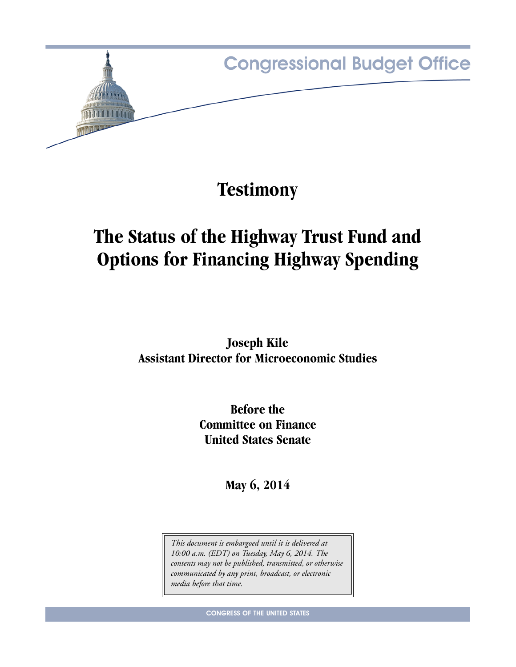

**Testimony**

# **The Status of the Highway Trust Fund and Options for Financing Highway Spending**

**Joseph Kile Assistant Director for Microeconomic Studies**

> **Before the Committee on Finance United States Senate**

> > **May 6, 2014**

*This document is embargoed until it is delivered at 10:00 a.m. (EDT) on Tuesday, May 6, 2014. The contents may not be published, transmitted, or otherwise communicated by any print, broadcast, or electronic media before that time.*

**CONGRESS OF THE UNITED STATES**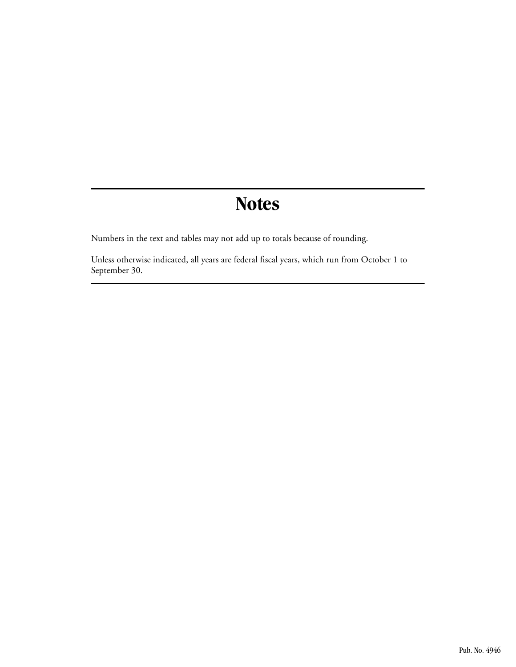# **Notes**

Numbers in the text and tables may not add up to totals because of rounding.

Unless otherwise indicated, all years are federal fiscal years, which run from October 1 to September 30.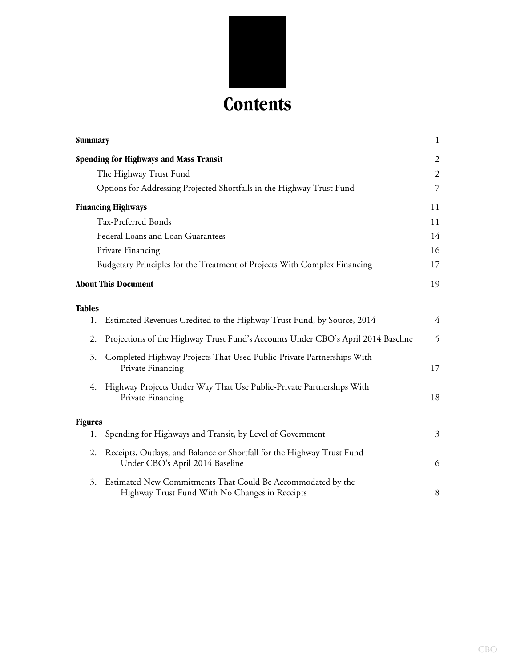

| <b>Summary</b> |                                                                                                               | $\mathbf{1}$   |
|----------------|---------------------------------------------------------------------------------------------------------------|----------------|
|                | <b>Spending for Highways and Mass Transit</b>                                                                 | 2              |
|                | The Highway Trust Fund                                                                                        | $\overline{2}$ |
|                | Options for Addressing Projected Shortfalls in the Highway Trust Fund                                         | 7              |
|                | <b>Financing Highways</b>                                                                                     | 11             |
|                | Tax-Preferred Bonds                                                                                           | 11             |
|                | Federal Loans and Loan Guarantees                                                                             | 14             |
|                | Private Financing                                                                                             | 16             |
|                | Budgetary Principles for the Treatment of Projects With Complex Financing                                     | 17             |
|                | <b>About This Document</b>                                                                                    | 19             |
| Tables         |                                                                                                               |                |
| 1.             | Estimated Revenues Credited to the Highway Trust Fund, by Source, 2014                                        | $\overline{4}$ |
| 2.             | Projections of the Highway Trust Fund's Accounts Under CBO's April 2014 Baseline                              | 5              |
| 3.             | Completed Highway Projects That Used Public-Private Partnerships With<br>Private Financing                    | 17             |
| 4.             | Highway Projects Under Way That Use Public-Private Partnerships With<br>Private Financing                     | 18             |
| <b>Figures</b> |                                                                                                               |                |
| 1.             | Spending for Highways and Transit, by Level of Government                                                     | $\mathfrak{Z}$ |
| 2.             | Receipts, Outlays, and Balance or Shortfall for the Highway Trust Fund<br>Under CBO's April 2014 Baseline     | 6              |
| 3.             | Estimated New Commitments That Could Be Accommodated by the<br>Highway Trust Fund With No Changes in Receipts | 8              |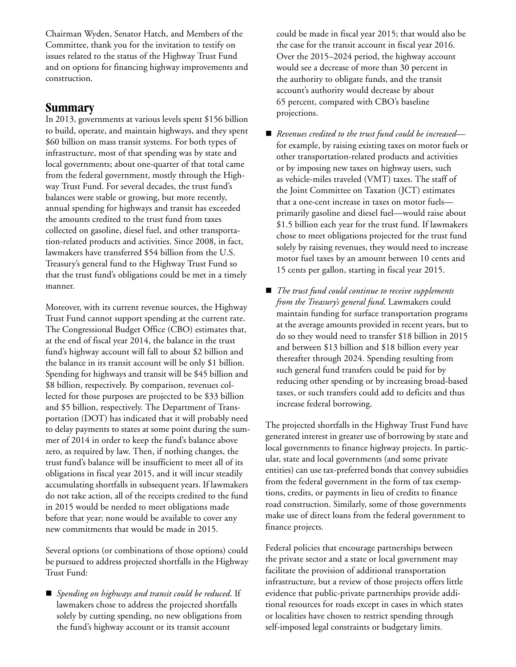Chairman Wyden, Senator Hatch, and Members of the Committee, thank you for the invitation to testify on issues related to the status of the Highway Trust Fund and on options for financing highway improvements and construction.

## <span id="page-4-0"></span>**Summary**

In 2013, governments at various levels spent \$156 billion to build, operate, and maintain highways, and they spent \$60 billion on mass transit systems. For both types of infrastructure, most of that spending was by state and local governments; about one-quarter of that total came from the federal government, mostly through the Highway Trust Fund. For several decades, the trust fund's balances were stable or growing, but more recently, annual spending for highways and transit has exceeded the amounts credited to the trust fund from taxes collected on gasoline, diesel fuel, and other transportation-related products and activities. Since 2008, in fact, lawmakers have transferred \$54 billion from the U.S. Treasury's general fund to the Highway Trust Fund so that the trust fund's obligations could be met in a timely manner.

Moreover, with its current revenue sources, the Highway Trust Fund cannot support spending at the current rate. The Congressional Budget Office (CBO) estimates that, at the end of fiscal year 2014, the balance in the trust fund's highway account will fall to about \$2 billion and the balance in its transit account will be only \$1 billion. Spending for highways and transit will be \$45 billion and \$8 billion, respectively. By comparison, revenues collected for those purposes are projected to be \$33 billion and \$5 billion, respectively. The Department of Transportation (DOT) has indicated that it will probably need to delay payments to states at some point during the summer of 2014 in order to keep the fund's balance above zero, as required by law. Then, if nothing changes, the trust fund's balance will be insufficient to meet all of its obligations in fiscal year 2015, and it will incur steadily accumulating shortfalls in subsequent years. If lawmakers do not take action, all of the receipts credited to the fund in 2015 would be needed to meet obligations made before that year; none would be available to cover any new commitments that would be made in 2015.

Several options (or combinations of those options) could be pursued to address projected shortfalls in the Highway Trust Fund:

 *Spending on highways and transit could be reduced*. If lawmakers chose to address the projected shortfalls solely by cutting spending, no new obligations from the fund's highway account or its transit account

could be made in fiscal year 2015; that would also be the case for the transit account in fiscal year 2016. Over the 2015–2024 period, the highway account would see a decrease of more than 30 percent in the authority to obligate funds, and the transit account's authority would decrease by about 65 percent, compared with CBO's baseline projections.

- *Revenues credited to the trust fund could be increased* for example, by raising existing taxes on motor fuels or other transportation-related products and activities or by imposing new taxes on highway users, such as vehicle-miles traveled (VMT) taxes. The staff of the Joint Committee on Taxation (JCT) estimates that a one-cent increase in taxes on motor fuels primarily gasoline and diesel fuel—would raise about \$1.5 billion each year for the trust fund. If lawmakers chose to meet obligations projected for the trust fund solely by raising revenues, they would need to increase motor fuel taxes by an amount between 10 cents and 15 cents per gallon, starting in fiscal year 2015.
- *The trust fund could continue to receive supplements from the Treasury's general fund*. Lawmakers could maintain funding for surface transportation programs at the average amounts provided in recent years, but to do so they would need to transfer \$18 billion in 2015 and between \$13 billion and \$18 billion every year thereafter through 2024. Spending resulting from such general fund transfers could be paid for by reducing other spending or by increasing broad-based taxes, or such transfers could add to deficits and thus increase federal borrowing.

The projected shortfalls in the Highway Trust Fund have generated interest in greater use of borrowing by state and local governments to finance highway projects. In particular, state and local governments (and some private entities) can use tax-preferred bonds that convey subsidies from the federal government in the form of tax exemptions, credits, or payments in lieu of credits to finance road construction. Similarly, some of those governments make use of direct loans from the federal government to finance projects.

Federal policies that encourage partnerships between the private sector and a state or local government may facilitate the provision of additional transportation infrastructure, but a review of those projects offers little evidence that public-private partnerships provide additional resources for roads except in cases in which states or localities have chosen to restrict spending through self-imposed legal constraints or budgetary limits.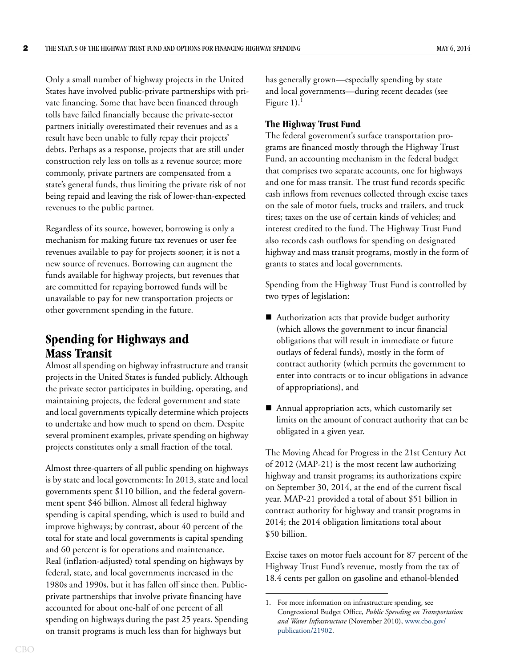Only a small number of highway projects in the United States have involved public-private partnerships with private financing. Some that have been financed through tolls have failed financially because the private-sector partners initially overestimated their revenues and as a result have been unable to fully repay their projects' debts. Perhaps as a response, projects that are still under construction rely less on tolls as a revenue source; more commonly, private partners are compensated from a state's general funds, thus limiting the private risk of not being repaid and leaving the risk of lower-than-expected revenues to the public partner.

Regardless of its source, however, borrowing is only a mechanism for making future tax revenues or user fee revenues available to pay for projects sooner; it is not a new source of revenues. Borrowing can augment the funds available for highway projects, but revenues that are committed for repaying borrowed funds will be unavailable to pay for new transportation projects or other government spending in the future.

## <span id="page-5-0"></span>**Spending for Highways and Mass Transit**

Almost all spending on highway infrastructure and transit projects in the United States is funded publicly. Although the private sector participates in building, operating, and maintaining projects, the federal government and state and local governments typically determine which projects to undertake and how much to spend on them. Despite several prominent examples, private spending on highway projects constitutes only a small fraction of the total.

Almost three-quarters of all public spending on highways is by state and local governments: In 2013, state and local governments spent \$110 billion, and the federal government spent \$46 billion. Almost all federal highway spending is capital spending, which is used to build and improve highways; by contrast, about 40 percent of the total for state and local governments is capital spending and 60 percent is for operations and maintenance. Real (inflation-adjusted) total spending on highways by federal, state, and local governments increased in the 1980s and 1990s, but it has fallen off since then. Publicprivate partnerships that involve private financing have accounted for about one-half of one percent of all spending on highways during the past 25 years. Spending on transit programs is much less than for highways but

has generally grown—especially spending by state and local governments—during recent decades (see Figure  $1$ ).<sup>1</sup>

#### <span id="page-5-1"></span>**The Highway Trust Fund**

The federal government's surface transportation programs are financed mostly through the Highway Trust Fund, an accounting mechanism in the federal budget that comprises two separate accounts, one for highways and one for mass transit. The trust fund records specific cash inflows from revenues collected through excise taxes on the sale of motor fuels, trucks and trailers, and truck tires; taxes on the use of certain kinds of vehicles; and interest credited to the fund. The Highway Trust Fund also records cash outflows for spending on designated highway and mass transit programs, mostly in the form of grants to states and local governments.

Spending from the Highway Trust Fund is controlled by two types of legislation:

- Authorization acts that provide budget authority (which allows the government to incur financial obligations that will result in immediate or future outlays of federal funds), mostly in the form of contract authority (which permits the government to enter into contracts or to incur obligations in advance of appropriations), and
- Annual appropriation acts, which customarily set limits on the amount of contract authority that can be obligated in a given year.

The Moving Ahead for Progress in the 21st Century Act of 2012 (MAP-21) is the most recent law authorizing highway and transit programs; its authorizations expire on September 30, 2014, at the end of the current fiscal year. MAP-21 provided a total of about \$51 billion in contract authority for highway and transit programs in 2014; the 2014 obligation limitations total about \$50 billion.

Excise taxes on motor fuels account for 87 percent of the Highway Trust Fund's revenue, mostly from the tax of 18.4 cents per gallon on gasoline and ethanol-blended

<sup>1.</sup> For more information on infrastructure spending, see Congressional Budget Office, *Public Spending on Transportation and Water Infrastructure* (November 2010), [www.cbo.gov/](http://www.cbo.gov/publication/21902) [publication/21902](http://www.cbo.gov/publication/21902).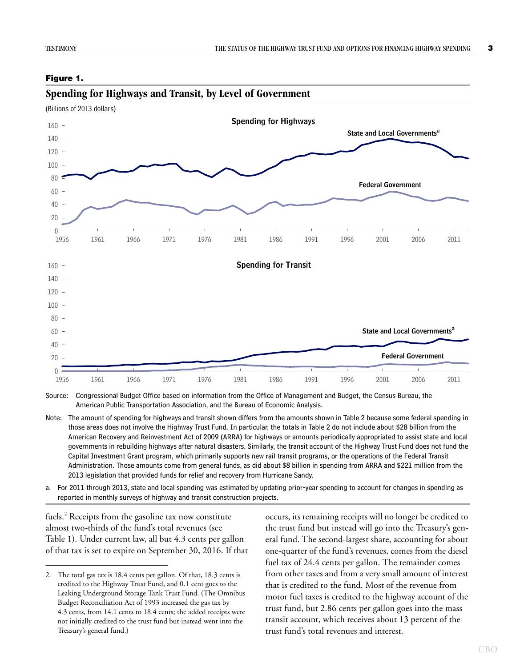#### <span id="page-6-0"></span>**Figure 1.**



## <span id="page-6-1"></span>**Spending for Highways and Transit, by Level of Government**

Source: Congressional Budget Office based on information from the Office of Management and Budget, the Census Bureau, the American Public Transportation Association, and the Bureau of Economic Analysis.

Note: The amount of spending for highways and transit shown differs from the amounts shown in Table 2 because some federal spending in those areas does not involve the Highway Trust Fund. In particular, the totals in Table 2 do not include about \$28 billion from the American Recovery and Reinvestment Act of 2009 (ARRA) for highways or amounts periodically appropriated to assist state and local governments in rebuilding highways after natural disasters. Similarly, the transit account of the Highway Trust Fund does not fund the Capital Investment Grant program, which primarily supports new rail transit programs, or the operations of the Federal Transit Administration. Those amounts come from general funds, as did about \$8 billion in spending from ARRA and \$221 million from the 2013 legislation that provided funds for relief and recovery from Hurricane Sandy.

a. For 2011 through 2013, state and local spending was estimated by updating prior-year spending to account for changes in spending as reported in monthly surveys of highway and transit construction projects.

fuels.<sup>2</sup> Receipts from the gasoline tax now constitute almost two-thirds of the fund's total revenues (see [Table 1](#page-7-0)). Under current law, all but 4.3 cents per gallon of that tax is set to expire on September 30, 2016. If that occurs, its remaining receipts will no longer be credited to the trust fund but instead will go into the Treasury's general fund. The second-largest share, accounting for about one-quarter of the fund's revenues, comes from the diesel fuel tax of 24.4 cents per gallon. The remainder comes from other taxes and from a very small amount of interest that is credited to the fund. Most of the revenue from motor fuel taxes is credited to the highway account of the trust fund, but 2.86 cents per gallon goes into the mass transit account, which receives about 13 percent of the trust fund's total revenues and interest.

<sup>2.</sup> The total gas tax is 18.4 cents per gallon. Of that, 18.3 cents is credited to the Highway Trust Fund, and 0.1 cent goes to the Leaking Underground Storage Tank Trust Fund. (The Omnibus Budget Reconciliation Act of 1993 increased the gas tax by 4.3 cents, from 14.1 cents to 18.4 cents; the added receipts were not initially credited to the trust fund but instead went into the Treasury's general fund.)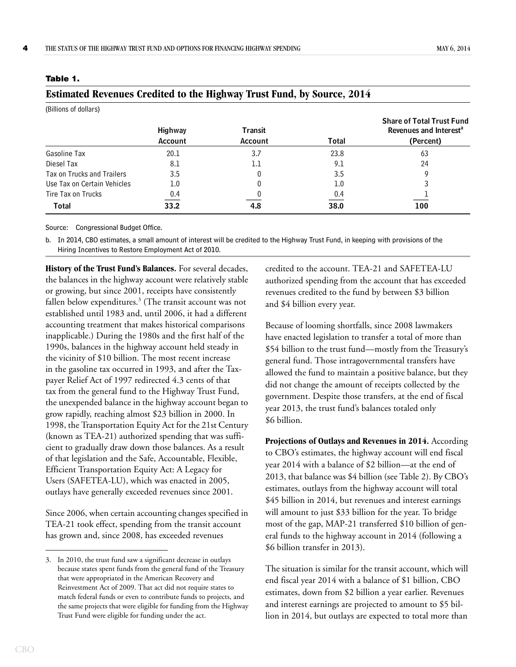<span id="page-7-1"></span>**Estimated Revenues Credited to the Highway Trust Fund, by Source, 2014**

| $\overline{\phantom{a}}$<br>(Billions of dollars) |                           |                                  |       |                                                                                     |  |  |  |  |  |  |
|---------------------------------------------------|---------------------------|----------------------------------|-------|-------------------------------------------------------------------------------------|--|--|--|--|--|--|
|                                                   | <b>Highway</b><br>Account | <b>Transit</b><br><b>Account</b> | Total | <b>Share of Total Trust Fund</b><br>Revenues and Interest <sup>a</sup><br>(Percent) |  |  |  |  |  |  |
| Gasoline Tax                                      | 20.1                      | 3.7                              | 23.8  | 63                                                                                  |  |  |  |  |  |  |
| Diesel Tax                                        | 8.1                       | 1.1                              | 9.1   | 24                                                                                  |  |  |  |  |  |  |
| Tax on Trucks and Trailers                        | 3.5                       |                                  | 3.5   |                                                                                     |  |  |  |  |  |  |
| Use Tax on Certain Vehicles                       | 1.0                       |                                  | 1.0   |                                                                                     |  |  |  |  |  |  |
| Tire Tax on Trucks                                | 0.4                       |                                  | 0.4   |                                                                                     |  |  |  |  |  |  |
| <b>Total</b>                                      | 33.2                      | 4.8                              | 38.0  | 100                                                                                 |  |  |  |  |  |  |

#### <span id="page-7-0"></span>**Table 1.**

Source: Congressional Budget Office.

b. In 2014, CBO estimates, a small amount of interest will be credited to the Highway Trust Fund, in keeping with provisions of the Hiring Incentives to Restore Employment Act of 2010.

**History of the Trust Fund's Balances.** For several decades, the balances in the highway account were relatively stable or growing, but since 2001, receipts have consistently fallen below expenditures.<sup>3</sup> (The transit account was not established until 1983 and, until 2006, it had a different accounting treatment that makes historical comparisons inapplicable.) During the 1980s and the first half of the 1990s, balances in the highway account held steady in the vicinity of \$10 billion. The most recent increase in the gasoline tax occurred in 1993, and after the Taxpayer Relief Act of 1997 redirected 4.3 cents of that tax from the general fund to the Highway Trust Fund, the unexpended balance in the highway account began to grow rapidly, reaching almost \$23 billion in 2000. In 1998, the Transportation Equity Act for the 21st Century (known as TEA-21) authorized spending that was sufficient to gradually draw down those balances. As a result of that legislation and the Safe, Accountable, Flexible, Efficient Transportation Equity Act: A Legacy for Users (SAFETEA-LU), which was enacted in 2005, outlays have generally exceeded revenues since 2001.

Since 2006, when certain accounting changes specified in TEA-21 took effect, spending from the transit account has grown and, since 2008, has exceeded revenues

credited to the account. TEA-21 and SAFETEA-LU authorized spending from the account that has exceeded revenues credited to the fund by between \$3 billion and \$4 billion every year.

Because of looming shortfalls, since 2008 lawmakers have enacted legislation to transfer a total of more than \$54 billion to the trust fund—mostly from the Treasury's general fund. Those intragovernmental transfers have allowed the fund to maintain a positive balance, but they did not change the amount of receipts collected by the government. Despite those transfers, at the end of fiscal year 2013, the trust fund's balances totaled only \$6 billion.

**Projections of Outlays and Revenues in 2014.** According to CBO's estimates, the highway account will end fiscal year 2014 with a balance of \$2 billion—at the end of 2013, that balance was \$4 billion (see [Table 2](#page-8-0)). By CBO's estimates, outlays from the highway account will total \$45 billion in 2014, but revenues and interest earnings will amount to just \$33 billion for the year. To bridge most of the gap, MAP-21 transferred \$10 billion of general funds to the highway account in 2014 (following a \$6 billion transfer in 2013).

The situation is similar for the transit account, which will end fiscal year 2014 with a balance of \$1 billion, CBO estimates, down from \$2 billion a year earlier. Revenues and interest earnings are projected to amount to \$5 billion in 2014, but outlays are expected to total more than

<sup>3.</sup> In 2010, the trust fund saw a significant decrease in outlays because states spent funds from the general fund of the Treasury that were appropriated in the American Recovery and Reinvestment Act of 2009. That act did not require states to match federal funds or even to contribute funds to projects, and the same projects that were eligible for funding from the Highway Trust Fund were eligible for funding under the act.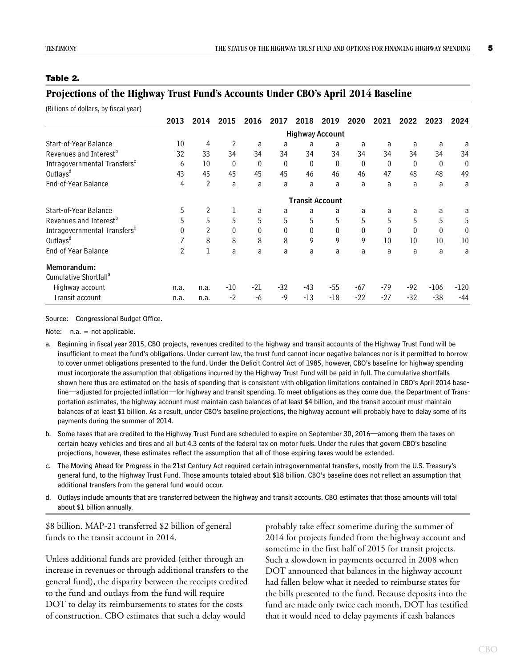#### <span id="page-8-0"></span>**Table 2.**

| (Billions of dollars, by fiscal year)    |                        |                |                |                  |              |       |       |             |              |          |          |                  |
|------------------------------------------|------------------------|----------------|----------------|------------------|--------------|-------|-------|-------------|--------------|----------|----------|------------------|
|                                          | 2013                   | 2014           | 2015           | 2016             | 2017         | 2018  | 2019  | 2020        | 2021         | 2022     | 2023     | 2024             |
|                                          | <b>Highway Account</b> |                |                |                  |              |       |       |             |              |          |          |                  |
| Start-of-Year Balance                    | 10                     | 4              | $\overline{2}$ | a                | a            | a     | a     | a           | a            | a        | a        | a                |
| Revenues and Interest <sup>b</sup>       | 32                     | 33             | 34             | 34               | 34           | 34    | 34    | 34          | 34           | 34       | 34       | 34               |
| Intragovernmental Transfers <sup>c</sup> | 6                      | 10             | 0              | $\boldsymbol{0}$ | $\mathbf 0$  | 0     | 0     | $\mathbf 0$ | $\mathbf{0}$ | $\theta$ | $\bf{0}$ | $\boldsymbol{0}$ |
| Outlays <sup>d</sup>                     | 43                     | 45             | 45             | 45               | 45           | 46    | 46    | 46          | 47           | 48       | 48       | 49               |
| End-of-Year Balance                      | 4                      | $\overline{2}$ | a              | a                | a            | a     | a     | a           | a            | a        | a        | a                |
|                                          | <b>Transit Account</b> |                |                |                  |              |       |       |             |              |          |          |                  |
| Start-of-Year Balance                    | 5                      | $\overline{2}$ | 1              | a                | a            | a     | a     | a           | a            | a        | a        | a                |
| Revenues and Interest <sup>b</sup>       | 5                      | 5              | 5              | 5                | 5            | 5     | 5     | 5           | 5            | 5        | 5        | 5                |
| Intragovernmental Transfers <sup>c</sup> | $\mathbf{0}$           | $\overline{2}$ | $\theta$       | 0                | $\mathbf{0}$ | 0     | 0     | 0           | $\mathbf{0}$ | 0        | $\theta$ | 0                |
| Outlays <sup>d</sup>                     | 7                      | 8              | 8              | 8                | 8            | 9     | 9     | 9           | 10           | 10       | 10       | 10               |
| End-of-Year Balance                      | $\overline{2}$         | 1              | a              | a                | a            | a     | a     | a           | a            | a        | a        | a                |
| Memorandum:                              |                        |                |                |                  |              |       |       |             |              |          |          |                  |
| Cumulative Shortfall <sup>a</sup>        |                        |                |                |                  |              |       |       |             |              |          |          |                  |
| Highway account                          | n.a.                   | n.a.           | -10            | $-21$            | $-32$        | -43   | -55   | $-67$       | $-79$        | -92      | $-106$   | $-120$           |
| Transit account                          | n.a.                   | n.a.           | $-2$           | -6               | $-9$         | $-13$ | $-18$ | $-22$       | $-27$        | $-32$    | $-38$    | $-44$            |

### <span id="page-8-1"></span>**Projections of the Highway Trust Fund's Accounts Under CBO's April 2014 Baseline**

Source: Congressional Budget Office.

Note: n.a. = not applicable.

a. Beginning in fiscal year 2015, CBO projects, revenues credited to the highway and transit accounts of the Highway Trust Fund will be insufficient to meet the fund's obligations. Under current law, the trust fund cannot incur negative balances nor is it permitted to borrow to cover unmet obligations presented to the fund. Under the Deficit Control Act of 1985, however, CBO's baseline for highway spending must incorporate the assumption that obligations incurred by the Highway Trust Fund will be paid in full. The cumulative shortfalls shown here thus are estimated on the basis of spending that is consistent with obligation limitations contained in CBO's April 2014 baseline—adjusted for projected inflation—for highway and transit spending. To meet obligations as they come due, the Department of Transportation estimates, the highway account must maintain cash balances of at least \$4 billion, and the transit account must maintain balances of at least \$1 billion. As a result, under CBO's baseline projections, the highway account will probably have to delay some of its payments during the summer of 2014.

- b. Some taxes that are credited to the Highway Trust Fund are scheduled to expire on September 30, 2016—among them the taxes on certain heavy vehicles and tires and all but 4.3 cents of the federal tax on motor fuels. Under the rules that govern CBO's baseline projections, however, these estimates reflect the assumption that all of those expiring taxes would be extended.
- c. The Moving Ahead for Progress in the 21st Century Act required certain intragovernmental transfers, mostly from the U.S. Treasury's general fund, to the Highway Trust Fund. Those amounts totaled about \$18 billion. CBO's baseline does not reflect an assumption that additional transfers from the general fund would occur.
- d. Outlays include amounts that are transferred between the highway and transit accounts. CBO estimates that those amounts will total about \$1 billion annually.

\$8 billion. MAP-21 transferred \$2 billion of general funds to the transit account in 2014.

Unless additional funds are provided (either through an increase in revenues or through additional transfers to the general fund), the disparity between the receipts credited to the fund and outlays from the fund will require DOT to delay its reimbursements to states for the costs of construction. CBO estimates that such a delay would

probably take effect sometime during the summer of 2014 for projects funded from the highway account and sometime in the first half of 2015 for transit projects. Such a slowdown in payments occurred in 2008 when DOT announced that balances in the highway account had fallen below what it needed to reimburse states for the bills presented to the fund. Because deposits into the fund are made only twice each month, DOT has testified that it would need to delay payments if cash balances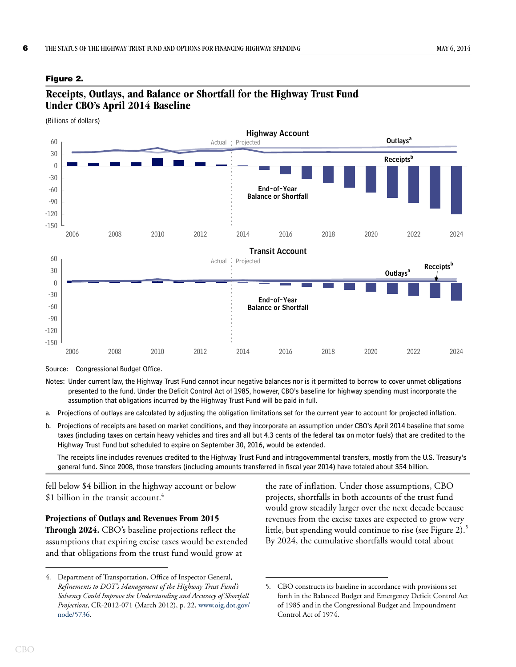#### <span id="page-9-0"></span>**Figure 2.**



### <span id="page-9-1"></span>**Receipts, Outlays, and Balance or Shortfall for the Highway Trust Fund Under CBO's April 2014 Baseline**

Source: Congressional Budget Office.

- Notes: Under current law, the Highway Trust Fund cannot incur negative balances nor is it permitted to borrow to cover unmet obligations presented to the fund. Under the Deficit Control Act of 1985, however, CBO's baseline for highway spending must incorporate the assumption that obligations incurred by the Highway Trust Fund will be paid in full.
- a. Projections of outlays are calculated by adjusting the obligation limitations set for the current year to account for projected inflation.
- b. Projections of receipts are based on market conditions, and they incorporate an assumption under CBO's April 2014 baseline that some taxes (including taxes on certain heavy vehicles and tires and all but 4.3 cents of the federal tax on motor fuels) that are credited to the Highway Trust Fund but scheduled to expire on September 30, 2016, would be extended.

The receipts line includes revenues credited to the Highway Trust Fund and intragovernmental transfers, mostly from the U.S. Treasury's general fund. Since 2008, those transfers (including amounts transferred in fiscal year 2014) have totaled about \$54 billion.

fell below \$4 billion in the highway account or below \$1 billion in the transit account. $4$ 

## **Projections of Outlays and Revenues From 2015**

**Through 2024.** CBO's baseline projections reflect the assumptions that expiring excise taxes would be extended and that obligations from the trust fund would grow at

the rate of inflation. Under those assumptions, CBO projects, shortfalls in both accounts of the trust fund would grow steadily larger over the next decade because revenues from the excise taxes are expected to grow very little, but spending would continue to rise (see [Figure 2](#page-9-0)).<sup>5</sup> By 2024, the cumulative shortfalls would total about

<sup>4.</sup> Department of Transportation, Office of Inspector General, *Refinements to DOT's Management of the Highway Trust Fund's Solvency Could Improve the Understanding and Accuracy of Shortfall Projections*, CR-2012-071 (March 2012), p. 22, [www.oig.dot.gov/](http://www.oig.dot.gov/node/5736) [node/5736.](http://www.oig.dot.gov/node/5736)

<sup>5.</sup> CBO constructs its baseline in accordance with provisions set forth in the Balanced Budget and Emergency Deficit Control Act of 1985 and in the Congressional Budget and Impoundment Control Act of 1974.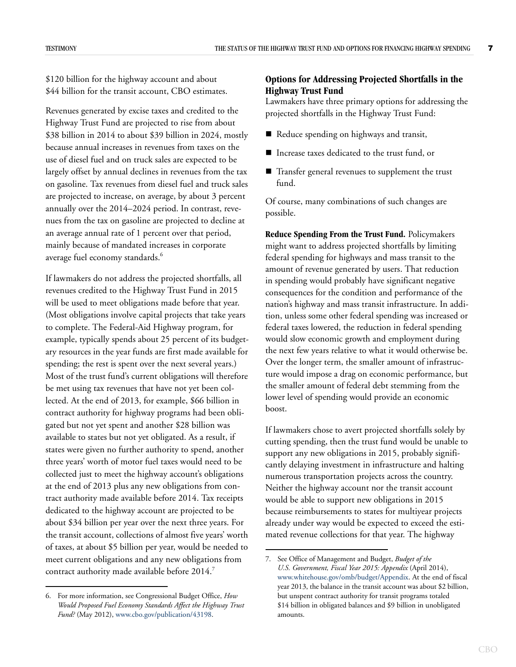\$120 billion for the highway account and about \$44 billion for the transit account, CBO estimates.

Revenues generated by excise taxes and credited to the Highway Trust Fund are projected to rise from about \$38 billion in 2014 to about \$39 billion in 2024, mostly because annual increases in revenues from taxes on the use of diesel fuel and on truck sales are expected to be largely offset by annual declines in revenues from the tax on gasoline. Tax revenues from diesel fuel and truck sales are projected to increase, on average, by about 3 percent annually over the 2014–2024 period. In contrast, revenues from the tax on gasoline are projected to decline at an average annual rate of 1 percent over that period, mainly because of mandated increases in corporate average fuel economy standards.<sup>6</sup>

If lawmakers do not address the projected shortfalls, all revenues credited to the Highway Trust Fund in 2015 will be used to meet obligations made before that year. (Most obligations involve capital projects that take years to complete. The Federal-Aid Highway program, for example, typically spends about 25 percent of its budgetary resources in the year funds are first made available for spending; the rest is spent over the next several years.) Most of the trust fund's current obligations will therefore be met using tax revenues that have not yet been collected. At the end of 2013, for example, \$66 billion in contract authority for highway programs had been obligated but not yet spent and another \$28 billion was available to states but not yet obligated. As a result, if states were given no further authority to spend, another three years' worth of motor fuel taxes would need to be collected just to meet the highway account's obligations at the end of 2013 plus any new obligations from contract authority made available before 2014. Tax receipts dedicated to the highway account are projected to be about \$34 billion per year over the next three years. For the transit account, collections of almost five years' worth of taxes, at about \$5 billion per year, would be needed to meet current obligations and any new obligations from contract authority made available before 2014.<sup>7</sup>

#### <span id="page-10-0"></span>**Options for Addressing Projected Shortfalls in the Highway Trust Fund**

Lawmakers have three primary options for addressing the projected shortfalls in the Highway Trust Fund:

- Reduce spending on highways and transit,
- Increase taxes dedicated to the trust fund, or
- Transfer general revenues to supplement the trust fund.

Of course, many combinations of such changes are possible.

**Reduce Spending From the Trust Fund.** Policymakers might want to address projected shortfalls by limiting federal spending for highways and mass transit to the amount of revenue generated by users. That reduction in spending would probably have significant negative consequences for the condition and performance of the nation's highway and mass transit infrastructure. In addition, unless some other federal spending was increased or federal taxes lowered, the reduction in federal spending would slow economic growth and employment during the next few years relative to what it would otherwise be. Over the longer term, the smaller amount of infrastructure would impose a drag on economic performance, but the smaller amount of federal debt stemming from the lower level of spending would provide an economic boost.

If lawmakers chose to avert projected shortfalls solely by cutting spending, then the trust fund would be unable to support any new obligations in 2015, probably significantly delaying investment in infrastructure and halting numerous transportation projects across the country. Neither the highway account nor the transit account would be able to support new obligations in 2015 because reimbursements to states for multiyear projects already under way would be expected to exceed the estimated revenue collections for that year. The highway

<sup>6.</sup> For more information, see Congressional Budget Office, *How Would Proposed Fuel Economy Standards Affect the Highway Trust Fund?* (May 2012), [www.cbo.gov/publication/43198](http://www.cbo.gov/publication/43198).

<sup>7.</sup> See Office of Management and Budget, *Budget of the U.S. Government, Fiscal Year 2015: Appendix* (April 2014), [www.whitehouse.gov/omb/budget/Appendix.](http://www.whitehouse.gov/omb/budget/Appendix) At the end of fiscal year 2013, the balance in the transit account was about \$2 billion, but unspent contract authority for transit programs totaled \$14 billion in obligated balances and \$9 billion in unobligated amounts.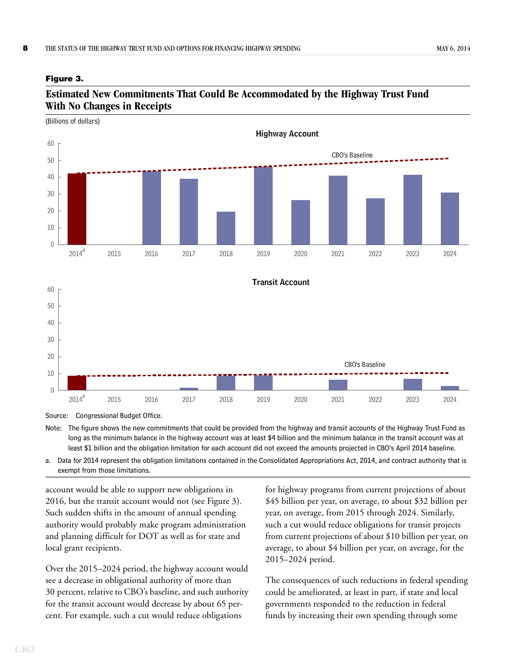#### <span id="page-11-0"></span>**Figure 3.**

### <span id="page-11-1"></span>**Estimated New Commitments That Could Be Accommodated by the Highway Trust Fund With No Changes in Receipts**



Source: Congressional Budget Office.

Note: The figure shows the new commitments that could be provided from the highway and transit accounts of the Highway Trust Fund as long as the minimum balance in the highway account was at least \$4 billion and the minimum balance in the transit account was at least \$1 billion and the obligation limitation for each account did not exceed the amounts projected in CBO's April 2014 baseline.

a. Data for 2014 represent the obligation limitations contained in the Consolidated Appropriations Act, 2014, and contract authority that is exempt from those limitations.

account would be able to support new obligations in 2016, but the transit account would not (see [Figure 3\)](#page-11-0). Such sudden shifts in the amount of annual spending authority would probably make program administration and planning difficult for DOT as well as for state and local grant recipients.

Over the 2015–2024 period, the highway account would see a decrease in obligational authority of more than 30 percent, relative to CBO's baseline, and such authority for the transit account would decrease by about 65 percent. For example, such a cut would reduce obligations

for highway programs from current projections of about \$45 billion per year, on average, to about \$32 billion per year, on average, from 2015 through 2024. Similarly, such a cut would reduce obligations for transit projects from current projections of about \$10 billion per year, on average, to about \$4 billion per year, on average, for the 2015–2024 period.

The consequences of such reductions in federal spending could be ameliorated, at least in part, if state and local governments responded to the reduction in federal funds by increasing their own spending through some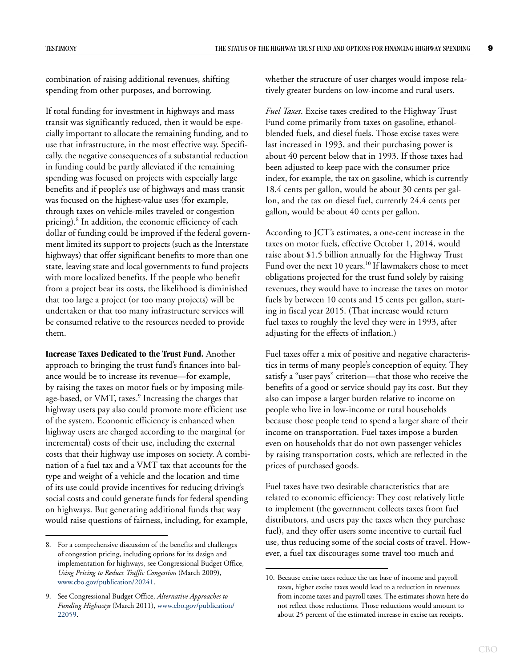combination of raising additional revenues, shifting spending from other purposes, and borrowing.

If total funding for investment in highways and mass transit was significantly reduced, then it would be especially important to allocate the remaining funding, and to use that infrastructure, in the most effective way. Specifically, the negative consequences of a substantial reduction in funding could be partly alleviated if the remaining spending was focused on projects with especially large benefits and if people's use of highways and mass transit was focused on the highest-value uses (for example, through taxes on vehicle-miles traveled or congestion pricing).<sup>8</sup> In addition, the economic efficiency of each dollar of funding could be improved if the federal government limited its support to projects (such as the Interstate highways) that offer significant benefits to more than one state, leaving state and local governments to fund projects with more localized benefits. If the people who benefit from a project bear its costs, the likelihood is diminished that too large a project (or too many projects) will be undertaken or that too many infrastructure services will be consumed relative to the resources needed to provide them.

**Increase Taxes Dedicated to the Trust Fund.** Another approach to bringing the trust fund's finances into balance would be to increase its revenue—for example, by raising the taxes on motor fuels or by imposing mileage-based, or VMT, taxes. $^9$  Increasing the charges that highway users pay also could promote more efficient use of the system. Economic efficiency is enhanced when highway users are charged according to the marginal (or incremental) costs of their use, including the external costs that their highway use imposes on society. A combination of a fuel tax and a VMT tax that accounts for the type and weight of a vehicle and the location and time of its use could provide incentives for reducing driving's social costs and could generate funds for federal spending on highways. But generating additional funds that way would raise questions of fairness, including, for example,

whether the structure of user charges would impose relatively greater burdens on low-income and rural users.

*Fuel Taxes*. Excise taxes credited to the Highway Trust Fund come primarily from taxes on gasoline, ethanolblended fuels, and diesel fuels. Those excise taxes were last increased in 1993, and their purchasing power is about 40 percent below that in 1993. If those taxes had been adjusted to keep pace with the consumer price index, for example, the tax on gasoline, which is currently 18.4 cents per gallon, would be about 30 cents per gallon, and the tax on diesel fuel, currently 24.4 cents per gallon, would be about 40 cents per gallon.

According to JCT's estimates, a one-cent increase in the taxes on motor fuels, effective October 1, 2014, would raise about \$1.5 billion annually for the Highway Trust Fund over the next 10 years. $^{\rm 10}$  If law<br>makers chose to meet obligations projected for the trust fund solely by raising revenues, they would have to increase the taxes on motor fuels by between 10 cents and 15 cents per gallon, starting in fiscal year 2015. (That increase would return fuel taxes to roughly the level they were in 1993, after adjusting for the effects of inflation.)

Fuel taxes offer a mix of positive and negative characteristics in terms of many people's conception of equity. They satisfy a "user pays" criterion—that those who receive the benefits of a good or service should pay its cost. But they also can impose a larger burden relative to income on people who live in low-income or rural households because those people tend to spend a larger share of their income on transportation. Fuel taxes impose a burden even on households that do not own passenger vehicles by raising transportation costs, which are reflected in the prices of purchased goods.

Fuel taxes have two desirable characteristics that are related to economic efficiency: They cost relatively little to implement (the government collects taxes from fuel distributors, and users pay the taxes when they purchase fuel), and they offer users some incentive to curtail fuel use, thus reducing some of the social costs of travel. However, a fuel tax discourages some travel too much and

<sup>8.</sup> For a comprehensive discussion of the benefits and challenges of congestion pricing, including options for its design and implementation for highways, see Congressional Budget Office, *Using Pricing to Reduce Traffic Congestion* (March 2009), [www.cbo.gov/publication/20241](http://www.cbo.gov/publication/20241).

<sup>9.</sup> See Congressional Budget Office, *Alternative Approaches to Funding Highways* (March 2011), [www.cbo.gov/publication/](http://www.cbo.gov/publication/22059) [22059.](http://www.cbo.gov/publication/22059)

<sup>10.</sup> Because excise taxes reduce the tax base of income and payroll taxes, higher excise taxes would lead to a reduction in revenues from income taxes and payroll taxes. The estimates shown here do not reflect those reductions. Those reductions would amount to about 25 percent of the estimated increase in excise tax receipts.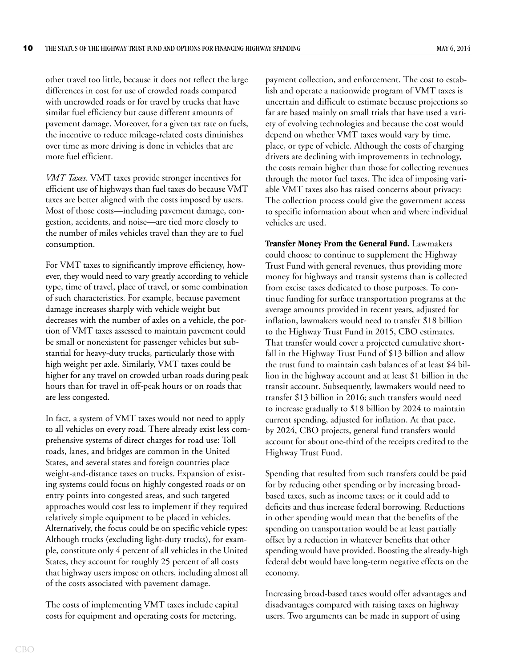other travel too little, because it does not reflect the large differences in cost for use of crowded roads compared with uncrowded roads or for travel by trucks that have similar fuel efficiency but cause different amounts of pavement damage. Moreover, for a given tax rate on fuels, the incentive to reduce mileage-related costs diminishes over time as more driving is done in vehicles that are more fuel efficient.

*VMT Taxes*. VMT taxes provide stronger incentives for efficient use of highways than fuel taxes do because VMT taxes are better aligned with the costs imposed by users. Most of those costs—including pavement damage, congestion, accidents, and noise—are tied more closely to the number of miles vehicles travel than they are to fuel consumption.

For VMT taxes to significantly improve efficiency, however, they would need to vary greatly according to vehicle type, time of travel, place of travel, or some combination of such characteristics. For example, because pavement damage increases sharply with vehicle weight but decreases with the number of axles on a vehicle, the portion of VMT taxes assessed to maintain pavement could be small or nonexistent for passenger vehicles but substantial for heavy-duty trucks, particularly those with high weight per axle. Similarly, VMT taxes could be higher for any travel on crowded urban roads during peak hours than for travel in off-peak hours or on roads that are less congested.

In fact, a system of VMT taxes would not need to apply to all vehicles on every road. There already exist less comprehensive systems of direct charges for road use: Toll roads, lanes, and bridges are common in the United States, and several states and foreign countries place weight-and-distance taxes on trucks. Expansion of existing systems could focus on highly congested roads or on entry points into congested areas, and such targeted approaches would cost less to implement if they required relatively simple equipment to be placed in vehicles. Alternatively, the focus could be on specific vehicle types: Although trucks (excluding light-duty trucks), for example, constitute only 4 percent of all vehicles in the United States, they account for roughly 25 percent of all costs that highway users impose on others, including almost all of the costs associated with pavement damage.

The costs of implementing VMT taxes include capital costs for equipment and operating costs for metering,

payment collection, and enforcement. The cost to establish and operate a nationwide program of VMT taxes is uncertain and difficult to estimate because projections so far are based mainly on small trials that have used a variety of evolving technologies and because the cost would depend on whether VMT taxes would vary by time, place, or type of vehicle. Although the costs of charging drivers are declining with improvements in technology, the costs remain higher than those for collecting revenues through the motor fuel taxes. The idea of imposing variable VMT taxes also has raised concerns about privacy: The collection process could give the government access to specific information about when and where individual vehicles are used.

**Transfer Money From the General Fund.** Lawmakers could choose to continue to supplement the Highway Trust Fund with general revenues, thus providing more money for highways and transit systems than is collected from excise taxes dedicated to those purposes. To continue funding for surface transportation programs at the average amounts provided in recent years, adjusted for inflation, lawmakers would need to transfer \$18 billion to the Highway Trust Fund in 2015, CBO estimates. That transfer would cover a projected cumulative shortfall in the Highway Trust Fund of \$13 billion and allow the trust fund to maintain cash balances of at least \$4 billion in the highway account and at least \$1 billion in the transit account. Subsequently, lawmakers would need to transfer \$13 billion in 2016; such transfers would need to increase gradually to \$18 billion by 2024 to maintain current spending, adjusted for inflation. At that pace, by 2024, CBO projects, general fund transfers would account for about one-third of the receipts credited to the Highway Trust Fund.

Spending that resulted from such transfers could be paid for by reducing other spending or by increasing broadbased taxes, such as income taxes; or it could add to deficits and thus increase federal borrowing. Reductions in other spending would mean that the benefits of the spending on transportation would be at least partially offset by a reduction in whatever benefits that other spending would have provided. Boosting the already-high federal debt would have long-term negative effects on the economy.

Increasing broad-based taxes would offer advantages and disadvantages compared with raising taxes on highway users. Two arguments can be made in support of using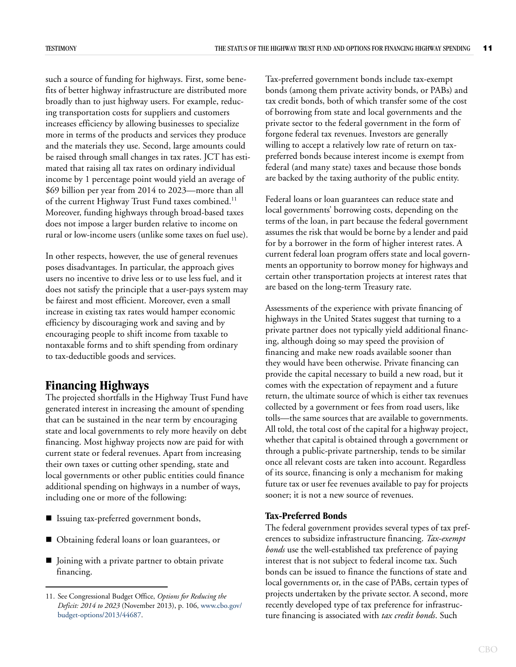such a source of funding for highways. First, some benefits of better highway infrastructure are distributed more broadly than to just highway users. For example, reducing transportation costs for suppliers and customers increases efficiency by allowing businesses to specialize more in terms of the products and services they produce and the materials they use. Second, large amounts could be raised through small changes in tax rates. JCT has estimated that raising all tax rates on ordinary individual income by 1 percentage point would yield an average of \$69 billion per year from 2014 to 2023—more than all of the current Highway Trust Fund taxes combined.<sup>11</sup> Moreover, funding highways through broad-based taxes does not impose a larger burden relative to income on rural or low-income users (unlike some taxes on fuel use).

In other respects, however, the use of general revenues poses disadvantages. In particular, the approach gives users no incentive to drive less or to use less fuel, and it does not satisfy the principle that a user-pays system may be fairest and most efficient. Moreover, even a small increase in existing tax rates would hamper economic efficiency by discouraging work and saving and by encouraging people to shift income from taxable to nontaxable forms and to shift spending from ordinary to tax-deductible goods and services.

## <span id="page-14-0"></span>**Financing Highways**

The projected shortfalls in the Highway Trust Fund have generated interest in increasing the amount of spending that can be sustained in the near term by encouraging state and local governments to rely more heavily on debt financing. Most highway projects now are paid for with current state or federal revenues. Apart from increasing their own taxes or cutting other spending, state and local governments or other public entities could finance additional spending on highways in a number of ways, including one or more of the following:

- Issuing tax-preferred government bonds,
- Obtaining federal loans or loan guarantees, or
- **Joining with a private partner to obtain private** financing.

Tax-preferred government bonds include tax-exempt bonds (among them private activity bonds, or PABs) and tax credit bonds, both of which transfer some of the cost of borrowing from state and local governments and the private sector to the federal government in the form of forgone federal tax revenues. Investors are generally willing to accept a relatively low rate of return on taxpreferred bonds because interest income is exempt from federal (and many state) taxes and because those bonds are backed by the taxing authority of the public entity.

Federal loans or loan guarantees can reduce state and local governments' borrowing costs, depending on the terms of the loan, in part because the federal government assumes the risk that would be borne by a lender and paid for by a borrower in the form of higher interest rates. A current federal loan program offers state and local governments an opportunity to borrow money for highways and certain other transportation projects at interest rates that are based on the long-term Treasury rate.

Assessments of the experience with private financing of highways in the United States suggest that turning to a private partner does not typically yield additional financing, although doing so may speed the provision of financing and make new roads available sooner than they would have been otherwise. Private financing can provide the capital necessary to build a new road, but it comes with the expectation of repayment and a future return, the ultimate source of which is either tax revenues collected by a government or fees from road users, like tolls—the same sources that are available to governments. All told, the total cost of the capital for a highway project, whether that capital is obtained through a government or through a public-private partnership, tends to be similar once all relevant costs are taken into account. Regardless of its source, financing is only a mechanism for making future tax or user fee revenues available to pay for projects sooner; it is not a new source of revenues.

#### <span id="page-14-1"></span>**Tax-Preferred Bonds**

The federal government provides several types of tax preferences to subsidize infrastructure financing. *Tax-exempt bonds* use the well-established tax preference of paying interest that is not subject to federal income tax. Such bonds can be issued to finance the functions of state and local governments or, in the case of PABs, certain types of projects undertaken by the private sector. A second, more recently developed type of tax preference for infrastructure financing is associated with *tax credit bonds*. Such

<sup>11.</sup> See Congressional Budget Office, *Options for Reducing the Deficit: 2014 to 2023* (November 2013), p. 106, [www.cbo.gov/](http://www.cbo.gov/budget-options/2013/44687) [budget-options/2013/44687.](http://www.cbo.gov/budget-options/2013/44687)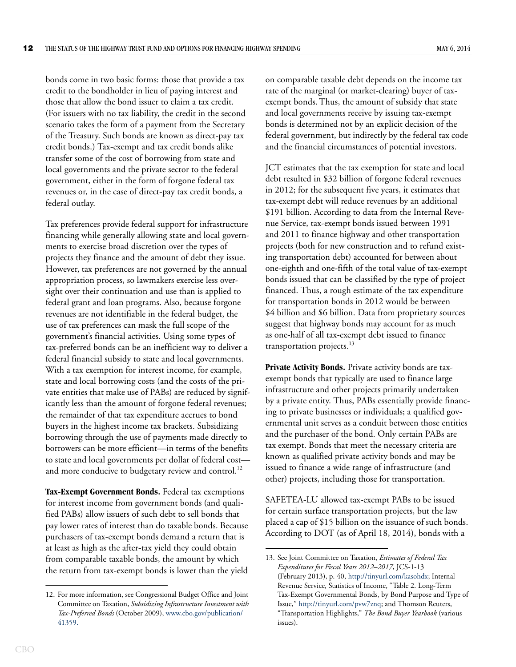bonds come in two basic forms: those that provide a tax credit to the bondholder in lieu of paying interest and those that allow the bond issuer to claim a tax credit. (For issuers with no tax liability, the credit in the second scenario takes the form of a payment from the Secretary of the Treasury. Such bonds are known as direct-pay tax credit bonds.) Tax-exempt and tax credit bonds alike transfer some of the cost of borrowing from state and local governments and the private sector to the federal government, either in the form of forgone federal tax revenues or, in the case of direct-pay tax credit bonds, a federal outlay.

Tax preferences provide federal support for infrastructure financing while generally allowing state and local governments to exercise broad discretion over the types of projects they finance and the amount of debt they issue. However, tax preferences are not governed by the annual appropriation process, so lawmakers exercise less oversight over their continuation and use than is applied to federal grant and loan programs. Also, because forgone revenues are not identifiable in the federal budget, the use of tax preferences can mask the full scope of the government's financial activities. Using some types of tax-preferred bonds can be an inefficient way to deliver a federal financial subsidy to state and local governments. With a tax exemption for interest income, for example, state and local borrowing costs (and the costs of the private entities that make use of PABs) are reduced by significantly less than the amount of forgone federal revenues; the remainder of that tax expenditure accrues to bond buyers in the highest income tax brackets. Subsidizing borrowing through the use of payments made directly to borrowers can be more efficient—in terms of the benefits to state and local governments per dollar of federal cost and more conducive to budgetary review and control.<sup>12</sup>

**Tax-Exempt Government Bonds.** Federal tax exemptions for interest income from government bonds (and qualified PABs) allow issuers of such debt to sell bonds that pay lower rates of interest than do taxable bonds. Because purchasers of tax-exempt bonds demand a return that is at least as high as the after-tax yield they could obtain from comparable taxable bonds, the amount by which the return from tax-exempt bonds is lower than the yield on comparable taxable debt depends on the income tax rate of the marginal (or market-clearing) buyer of taxexempt bonds.Thus, the amount of subsidy that state and local governments receive by issuing tax-exempt bonds is determined not by an explicit decision of the federal government, but indirectly by the federal tax code and the financial circumstances of potential investors.

JCT estimates that the tax exemption for state and local debt resulted in \$32 billion of forgone federal revenues in 2012; for the subsequent five years, it estimates that tax-exempt debt will reduce revenues by an additional \$191 billion. According to data from the Internal Revenue Service, tax-exempt bonds issued between 1991 and 2011 to finance highway and other transportation projects (both for new construction and to refund existing transportation debt) accounted for between about one-eighth and one-fifth of the total value of tax-exempt bonds issued that can be classified by the type of project financed. Thus, a rough estimate of the tax expenditure for transportation bonds in 2012 would be between \$4 billion and \$6 billion. Data from proprietary sources suggest that highway bonds may account for as much as one-half of all tax-exempt debt issued to finance transportation projects.<sup>13</sup>

**Private Activity Bonds.** Private activity bonds are taxexempt bonds that typically are used to finance large infrastructure and other projects primarily undertaken by a private entity. Thus, PABs essentially provide financing to private businesses or individuals; a qualified governmental unit serves as a conduit between those entities and the purchaser of the bond. Only certain PABs are tax exempt. Bonds that meet the necessary criteria are known as qualified private activity bonds and may be issued to finance a wide range of infrastructure (and other) projects, including those for transportation.

SAFETEA-LU allowed tax-exempt PABs to be issued for certain surface transportation projects, but the law placed a cap of \$15 billion on the issuance of such bonds. According to DOT (as of April 18, 2014), bonds with a

<sup>12.</sup> For more information, see Congressional Budget Office and Joint Committee on Taxation, *Subsidizing Infrastructure Investment with Tax-Preferred Bonds* (October 2009), [www.cbo.gov/publication/](http://www.cbo.gov/publication/41359) [41359.](http://www.cbo.gov/publication/41359)

<sup>13.</sup> See Joint Committee on Taxation, *Estimates of Federal Tax Expenditures for Fiscal Years 2012–2017*, JCS-1-13 (February 2013), p. 40,<http://tinyurl.com/kasohdx>; Internal Revenue Service, Statistics of Income, "Table 2. Long-Term Tax-Exempt Governmental Bonds, by Bond Purpose and Type of Issue," <http://tinyurl.com/pvw7znq>; and Thomson Reuters, "Transportation Highlights," *The Bond Buyer Yearbook* (various issues).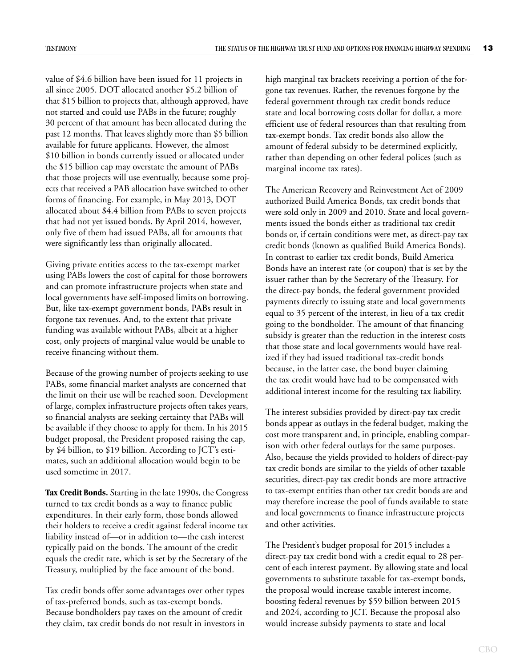value of \$4.6 billion have been issued for 11 projects in all since 2005. DOT allocated another \$5.2 billion of that \$15 billion to projects that, although approved, have not started and could use PABs in the future; roughly 30 percent of that amount has been allocated during the past 12 months. That leaves slightly more than \$5 billion available for future applicants. However, the almost \$10 billion in bonds currently issued or allocated under the \$15 billion cap may overstate the amount of PABs that those projects will use eventually, because some projects that received a PAB allocation have switched to other forms of financing. For example, in May 2013, DOT allocated about \$4.4 billion from PABs to seven projects that had not yet issued bonds. By April 2014, however, only five of them had issued PABs, all for amounts that were significantly less than originally allocated.

Giving private entities access to the tax-exempt market using PABs lowers the cost of capital for those borrowers and can promote infrastructure projects when state and local governments have self-imposed limits on borrowing. But, like tax-exempt government bonds, PABs result in forgone tax revenues. And, to the extent that private funding was available without PABs, albeit at a higher cost, only projects of marginal value would be unable to receive financing without them.

Because of the growing number of projects seeking to use PABs, some financial market analysts are concerned that the limit on their use will be reached soon. Development of large, complex infrastructure projects often takes years, so financial analysts are seeking certainty that PABs will be available if they choose to apply for them. In his 2015 budget proposal, the President proposed raising the cap, by \$4 billion, to \$19 billion. According to JCT's estimates, such an additional allocation would begin to be used sometime in 2017.

**Tax Credit Bonds.** Starting in the late 1990s, the Congress turned to tax credit bonds as a way to finance public expenditures. In their early form, those bonds allowed their holders to receive a credit against federal income tax liability instead of—or in addition to—the cash interest typically paid on the bonds. The amount of the credit equals the credit rate, which is set by the Secretary of the Treasury, multiplied by the face amount of the bond.

Tax credit bonds offer some advantages over other types of tax-preferred bonds, such as tax-exempt bonds. Because bondholders pay taxes on the amount of credit they claim, tax credit bonds do not result in investors in high marginal tax brackets receiving a portion of the forgone tax revenues. Rather, the revenues forgone by the federal government through tax credit bonds reduce state and local borrowing costs dollar for dollar, a more efficient use of federal resources than that resulting from tax-exempt bonds. Tax credit bonds also allow the amount of federal subsidy to be determined explicitly, rather than depending on other federal polices (such as marginal income tax rates).

The American Recovery and Reinvestment Act of 2009 authorized Build America Bonds, tax credit bonds that were sold only in 2009 and 2010. State and local governments issued the bonds either as traditional tax credit bonds or, if certain conditions were met, as direct-pay tax credit bonds (known as qualified Build America Bonds). In contrast to earlier tax credit bonds, Build America Bonds have an interest rate (or coupon) that is set by the issuer rather than by the Secretary of the Treasury. For the direct-pay bonds, the federal government provided payments directly to issuing state and local governments equal to 35 percent of the interest, in lieu of a tax credit going to the bondholder. The amount of that financing subsidy is greater than the reduction in the interest costs that those state and local governments would have realized if they had issued traditional tax-credit bonds because, in the latter case, the bond buyer claiming the tax credit would have had to be compensated with additional interest income for the resulting tax liability.

The interest subsidies provided by direct-pay tax credit bonds appear as outlays in the federal budget, making the cost more transparent and, in principle, enabling comparison with other federal outlays for the same purposes. Also, because the yields provided to holders of direct-pay tax credit bonds are similar to the yields of other taxable securities, direct-pay tax credit bonds are more attractive to tax-exempt entities than other tax credit bonds are and may therefore increase the pool of funds available to state and local governments to finance infrastructure projects and other activities.

The President's budget proposal for 2015 includes a direct-pay tax credit bond with a credit equal to 28 percent of each interest payment. By allowing state and local governments to substitute taxable for tax-exempt bonds, the proposal would increase taxable interest income, boosting federal revenues by \$59 billion between 2015 and 2024, according to JCT. Because the proposal also would increase subsidy payments to state and local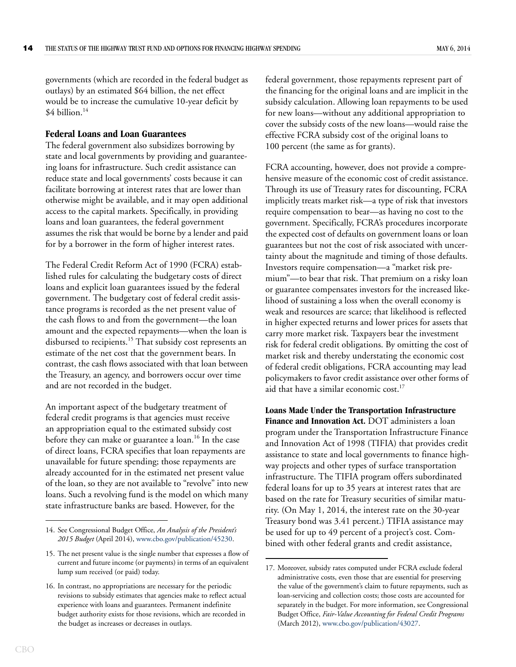governments (which are recorded in the federal budget as outlays) by an estimated \$64 billion, the net effect would be to increase the cumulative 10-year deficit by \$4 billion.<sup>14</sup>

#### <span id="page-17-0"></span>**Federal Loans and Loan Guarantees**

The federal government also subsidizes borrowing by state and local governments by providing and guaranteeing loans for infrastructure. Such credit assistance can reduce state and local governments' costs because it can facilitate borrowing at interest rates that are lower than otherwise might be available, and it may open additional access to the capital markets. Specifically, in providing loans and loan guarantees, the federal government assumes the risk that would be borne by a lender and paid for by a borrower in the form of higher interest rates.

The Federal Credit Reform Act of 1990 (FCRA) established rules for calculating the budgetary costs of direct loans and explicit loan guarantees issued by the federal government. The budgetary cost of federal credit assistance programs is recorded as the net present value of the cash flows to and from the government—the loan amount and the expected repayments—when the loan is disbursed to recipients.<sup>15</sup> That subsidy cost represents an estimate of the net cost that the government bears. In contrast, the cash flows associated with that loan between the Treasury, an agency, and borrowers occur over time and are not recorded in the budget.

An important aspect of the budgetary treatment of federal credit programs is that agencies must receive an appropriation equal to the estimated subsidy cost before they can make or guarantee a  $\alpha$  loan.<sup>16</sup> In the case of direct loans, FCRA specifies that loan repayments are unavailable for future spending; those repayments are already accounted for in the estimated net present value of the loan, so they are not available to "revolve" into new loans. Such a revolving fund is the model on which many state infrastructure banks are based. However, for the

federal government, those repayments represent part of the financing for the original loans and are implicit in the subsidy calculation. Allowing loan repayments to be used for new loans—without any additional appropriation to cover the subsidy costs of the new loans—would raise the effective FCRA subsidy cost of the original loans to 100 percent (the same as for grants).

FCRA accounting, however, does not provide a comprehensive measure of the economic cost of credit assistance. Through its use of Treasury rates for discounting, FCRA implicitly treats market risk—a type of risk that investors require compensation to bear—as having no cost to the government. Specifically, FCRA's procedures incorporate the expected cost of defaults on government loans or loan guarantees but not the cost of risk associated with uncertainty about the magnitude and timing of those defaults. Investors require compensation—a "market risk premium"—to bear that risk. That premium on a risky loan or guarantee compensates investors for the increased likelihood of sustaining a loss when the overall economy is weak and resources are scarce; that likelihood is reflected in higher expected returns and lower prices for assets that carry more market risk. Taxpayers bear the investment risk for federal credit obligations. By omitting the cost of market risk and thereby understating the economic cost of federal credit obligations, FCRA accounting may lead policymakers to favor credit assistance over other forms of aid that have a similar economic cost. $17$ 

**Loans Made Under the Transportation Infrastructure Finance and Innovation Act.** DOT administers a loan program under the Transportation Infrastructure Finance and Innovation Act of 1998 (TIFIA) that provides credit assistance to state and local governments to finance highway projects and other types of surface transportation infrastructure. The TIFIA program offers subordinated federal loans for up to 35 years at interest rates that are based on the rate for Treasury securities of similar maturity. (On May 1, 2014, the interest rate on the 30-year Treasury bond was 3.41 percent.) TIFIA assistance may be used for up to 49 percent of a project's cost. Combined with other federal grants and credit assistance,

<sup>14.</sup> See Congressional Budget Office, *An Analysis of the President's 2015 Budget* (April 2014), [www.cbo.gov/publication/45230.](http://www.cbo.gov/publication/45230)

<sup>15.</sup> The net present value is the single number that expresses a flow of current and future income (or payments) in terms of an equivalent lump sum received (or paid) today.

<sup>16.</sup> In contrast, no appropriations are necessary for the periodic revisions to subsidy estimates that agencies make to reflect actual experience with loans and guarantees. Permanent indefinite budget authority exists for those revisions, which are recorded in the budget as increases or decreases in outlays.

<sup>17.</sup> Moreover, subsidy rates computed under FCRA exclude federal administrative costs, even those that are essential for preserving the value of the government's claim to future repayments, such as loan-servicing and collection costs; those costs are accounted for separately in the budget. For more information, see Congressional Budget Office, *Fair-Value Accounting for Federal Credit Programs*  (March 2012), [www.cbo.gov/publication/43027.](http://www.cbo.gov/publication/43027)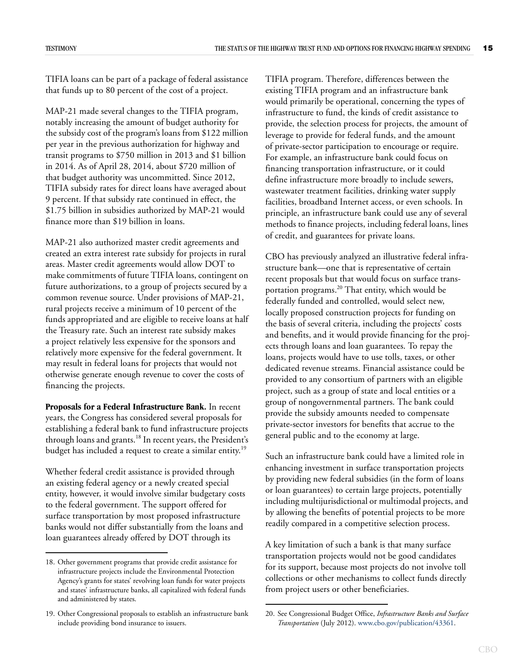TIFIA loans can be part of a package of federal assistance that funds up to 80 percent of the cost of a project.

MAP-21 made several changes to the TIFIA program, notably increasing the amount of budget authority for the subsidy cost of the program's loans from \$122 million per year in the previous authorization for highway and transit programs to \$750 million in 2013 and \$1 billion in 2014. As of April 28, 2014, about \$720 million of that budget authority was uncommitted. Since 2012, TIFIA subsidy rates for direct loans have averaged about 9 percent. If that subsidy rate continued in effect, the \$1.75 billion in subsidies authorized by MAP-21 would finance more than \$19 billion in loans.

MAP-21 also authorized master credit agreements and created an extra interest rate subsidy for projects in rural areas. Master credit agreements would allow DOT to make commitments of future TIFIA loans, contingent on future authorizations, to a group of projects secured by a common revenue source. Under provisions of MAP-21, rural projects receive a minimum of 10 percent of the funds appropriated and are eligible to receive loans at half the Treasury rate. Such an interest rate subsidy makes a project relatively less expensive for the sponsors and relatively more expensive for the federal government. It may result in federal loans for projects that would not otherwise generate enough revenue to cover the costs of financing the projects.

**Proposals for a Federal Infrastructure Bank.** In recent years, the Congress has considered several proposals for establishing a federal bank to fund infrastructure projects through loans and grants.<sup>18</sup> In recent years, the President's budget has included a request to create a similar entity.<sup>19</sup>

Whether federal credit assistance is provided through an existing federal agency or a newly created special entity, however, it would involve similar budgetary costs to the federal government. The support offered for surface transportation by most proposed infrastructure banks would not differ substantially from the loans and loan guarantees already offered by DOT through its

TIFIA program. Therefore, differences between the existing TIFIA program and an infrastructure bank would primarily be operational, concerning the types of infrastructure to fund, the kinds of credit assistance to provide, the selection process for projects, the amount of leverage to provide for federal funds, and the amount of private-sector participation to encourage or require. For example, an infrastructure bank could focus on financing transportation infrastructure, or it could define infrastructure more broadly to include sewers, wastewater treatment facilities, drinking water supply facilities, broadband Internet access, or even schools. In principle, an infrastructure bank could use any of several methods to finance projects, including federal loans, lines of credit, and guarantees for private loans.

CBO has previously analyzed an illustrative federal infrastructure bank—one that is representative of certain recent proposals but that would focus on surface transportation programs.20 That entity, which would be federally funded and controlled, would select new, locally proposed construction projects for funding on the basis of several criteria, including the projects' costs and benefits, and it would provide financing for the projects through loans and loan guarantees. To repay the loans, projects would have to use tolls, taxes, or other dedicated revenue streams. Financial assistance could be provided to any consortium of partners with an eligible project, such as a group of state and local entities or a group of nongovernmental partners. The bank could provide the subsidy amounts needed to compensate private-sector investors for benefits that accrue to the general public and to the economy at large.

Such an infrastructure bank could have a limited role in enhancing investment in surface transportation projects by providing new federal subsidies (in the form of loans or loan guarantees) to certain large projects, potentially including multijurisdictional or multimodal projects, and by allowing the benefits of potential projects to be more readily compared in a competitive selection process.

A key limitation of such a bank is that many surface transportation projects would not be good candidates for its support, because most projects do not involve toll collections or other mechanisms to collect funds directly from project users or other beneficiaries.

<sup>18.</sup> Other government programs that provide credit assistance for infrastructure projects include the Environmental Protection Agency's grants for states' revolving loan funds for water projects and states' infrastructure banks, all capitalized with federal funds and administered by states.

<sup>19.</sup> Other Congressional proposals to establish an infrastructure bank include providing bond insurance to issuers.

<sup>20.</sup> See Congressional Budget Office, *Infrastructure Banks and Surface Transportation* (July 2012). [www.cbo.gov/publication/43361.](http://www.cbo.gov/publication/43361)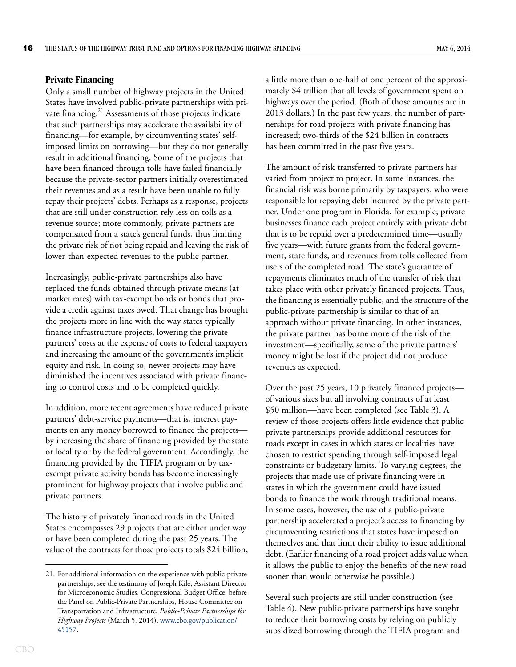#### <span id="page-19-0"></span>**Private Financing**

Only a small number of highway projects in the United States have involved public-private partnerships with private financing.<sup>21</sup> Assessments of those projects indicate that such partnerships may accelerate the availability of financing—for example, by circumventing states' selfimposed limits on borrowing—but they do not generally result in additional financing. Some of the projects that have been financed through tolls have failed financially because the private-sector partners initially overestimated their revenues and as a result have been unable to fully repay their projects' debts. Perhaps as a response, projects that are still under construction rely less on tolls as a revenue source; more commonly, private partners are compensated from a state's general funds, thus limiting the private risk of not being repaid and leaving the risk of lower-than-expected revenues to the public partner.

Increasingly, public-private partnerships also have replaced the funds obtained through private means (at market rates) with tax-exempt bonds or bonds that provide a credit against taxes owed. That change has brought the projects more in line with the way states typically finance infrastructure projects, lowering the private partners' costs at the expense of costs to federal taxpayers and increasing the amount of the government's implicit equity and risk. In doing so, newer projects may have diminished the incentives associated with private financing to control costs and to be completed quickly.

In addition, more recent agreements have reduced private partners' debt-service payments—that is, interest payments on any money borrowed to finance the projects by increasing the share of financing provided by the state or locality or by the federal government. Accordingly, the financing provided by the TIFIA program or by taxexempt private activity bonds has become increasingly prominent for highway projects that involve public and private partners.

The history of privately financed roads in the United States encompasses 29 projects that are either under way or have been completed during the past 25 years. The value of the contracts for those projects totals \$24 billion, a little more than one-half of one percent of the approximately \$4 trillion that all levels of government spent on highways over the period. (Both of those amounts are in 2013 dollars.) In the past few years, the number of partnerships for road projects with private financing has increased; two-thirds of the \$24 billion in contracts has been committed in the past five years.

The amount of risk transferred to private partners has varied from project to project. In some instances, the financial risk was borne primarily by taxpayers, who were responsible for repaying debt incurred by the private partner. Under one program in Florida, for example, private businesses finance each project entirely with private debt that is to be repaid over a predetermined time—usually five years—with future grants from the federal government, state funds, and revenues from tolls collected from users of the completed road. The state's guarantee of repayments eliminates much of the transfer of risk that takes place with other privately financed projects. Thus, the financing is essentially public, and the structure of the public-private partnership is similar to that of an approach without private financing. In other instances, the private partner has borne more of the risk of the investment—specifically, some of the private partners' money might be lost if the project did not produce revenues as expected.

Over the past 25 years, 10 privately financed projects of various sizes but all involving contracts of at least \$50 million—have been completed (see [Table 3](#page-20-1)). A review of those projects offers little evidence that publicprivate partnerships provide additional resources for roads except in cases in which states or localities have chosen to restrict spending through self-imposed legal constraints or budgetary limits. To varying degrees, the projects that made use of private financing were in states in which the government could have issued bonds to finance the work through traditional means. In some cases, however, the use of a public-private partnership accelerated a project's access to financing by circumventing restrictions that states have imposed on themselves and that limit their ability to issue additional debt. (Earlier financing of a road project adds value when it allows the public to enjoy the benefits of the new road sooner than would otherwise be possible.)

Several such projects are still under construction (see [Table 4](#page-21-0)). New public-private partnerships have sought to reduce their borrowing costs by relying on publicly subsidized borrowing through the TIFIA program and

<sup>21.</sup> For additional information on the experience with public-private partnerships, see the testimony of Joseph Kile, Assistant Director for Microeconomic Studies, Congressional Budget Office, before the Panel on Public-Private Partnerships, House Committee on Transportation and Infrastructure, *Public-Private Partnerships for Highway Projects* (March 5, 2014), [www.cbo.gov/publication/](http://www.cbo.gov/publication/45157) [45157.](http://www.cbo.gov/publication/45157)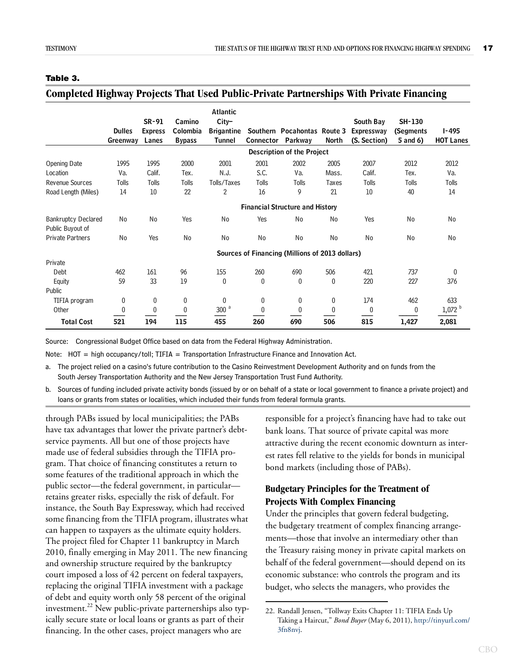#### <span id="page-20-1"></span>**Table 3.**

#### <span id="page-20-2"></span>**Completed Highway Projects That Used Public-Private Partnerships With Private Financing**

|                                                | <b>Dulles</b><br>Greenway | $SR-91$<br><b>Express</b><br>Lanes | Camino<br>Colombia<br><b>Bypass</b> | <b>Atlantic</b><br>$City-$<br><b>Brigantine</b><br><b>Tunnel</b> | Connector | Southern Pocahontas Route 3<br>Parkway          | North     | South Bay<br><b>Expressway</b><br>(S. Section) | <b>SH-130</b><br>(Segments<br>5 and 6) | <b>I-495</b><br><b>HOT Lanes</b> |
|------------------------------------------------|---------------------------|------------------------------------|-------------------------------------|------------------------------------------------------------------|-----------|-------------------------------------------------|-----------|------------------------------------------------|----------------------------------------|----------------------------------|
|                                                |                           |                                    |                                     |                                                                  |           | <b>Description of the Project</b>               |           |                                                |                                        |                                  |
| Opening Date                                   | 1995                      | 1995                               | 2000                                | 2001                                                             | 2001      | 2002                                            | 2005      | 2007                                           | 2012                                   | 2012                             |
| Location                                       | Va.                       | Calif.                             | Tex.                                | N.J.                                                             | S.C.      | Va.                                             | Mass.     | Calif.                                         | Tex.                                   | Va.                              |
| <b>Revenue Sources</b>                         | Tolls                     | Tolls                              | Tolls                               | Tolls/Taxes                                                      | Tolls     | Tolls                                           | Taxes     | <b>Tolls</b>                                   | Tolls                                  | Tolls                            |
| Road Length (Miles)                            | 14                        | 10 <sup>°</sup>                    | 22                                  | $\overline{2}$                                                   | 16        | 9                                               | 21        | 10                                             | 40                                     | 14                               |
|                                                |                           |                                    |                                     |                                                                  |           | <b>Financial Structure and History</b>          |           |                                                |                                        |                                  |
| <b>Bankruptcy Declared</b><br>Public Buyout of | No                        | <b>No</b>                          | Yes                                 | No                                                               | Yes       | N <sub>o</sub>                                  | No        | Yes                                            | N <sub>0</sub>                         | No                               |
| Private Partners                               | No                        | Yes                                | <b>No</b>                           | <b>No</b>                                                        | No        | <b>No</b>                                       | <b>No</b> | No                                             | No                                     | No                               |
|                                                |                           |                                    |                                     |                                                                  |           | Sources of Financing (Millions of 2013 dollars) |           |                                                |                                        |                                  |
| Private                                        |                           |                                    |                                     |                                                                  |           |                                                 |           |                                                |                                        |                                  |
| Debt                                           | 462                       | 161                                | 96                                  | 155                                                              | 260       | 690                                             | 506       | 421                                            | 737                                    | $\mathbf{0}$                     |
| Equity                                         | 59                        | 33                                 | 19                                  | 0                                                                | 0         | 0                                               | $\bf{0}$  | 220                                            | 227                                    | 376                              |
| Public                                         |                           |                                    |                                     |                                                                  |           |                                                 |           |                                                |                                        |                                  |
| TIFIA program                                  | 0                         | 0                                  | 0                                   | 0                                                                | 0         | 0                                               | 0         | 174                                            | 462                                    | 633                              |
| Other                                          | $\theta$                  | $\mathbf{0}$                       | $\theta$                            | 300 <sup>a</sup>                                                 | 0         | $\theta$                                        | $\theta$  | 0                                              | 0                                      | $1,072$ <sup>b</sup>             |
| <b>Total Cost</b>                              | 521                       | 194                                | 115                                 | 455                                                              | 260       | 690                                             | 506       | 815                                            | 1,427                                  | 2,081                            |

Source: Congressional Budget Office based on data from the Federal Highway Administration.

Note: HOT = high occupancy/toll; TIFIA = Transportation Infrastructure Finance and Innovation Act.

a. The project relied on a casino's future contribution to the Casino Reinvestment Development Authority and on funds from the South Jersey Transportation Authority and the New Jersey Transportation Trust Fund Authority.

b. Sources of funding included private activity bonds (issued by or on behalf of a state or local government to finance a private project) and loans or grants from states or localities, which included their funds from federal formula grants.

through PABs issued by local municipalities; the PABs have tax advantages that lower the private partner's debtservice payments. All but one of those projects have made use of federal subsidies through the TIFIA program. That choice of financing constitutes a return to some features of the traditional approach in which the public sector—the federal government, in particular retains greater risks, especially the risk of default. For instance, the South Bay Expressway, which had received some financing from the TIFIA program, illustrates what can happen to taxpayers as the ultimate equity holders. The project filed for Chapter 11 bankruptcy in March 2010, finally emerging in May 2011. The new financing and ownership structure required by the bankruptcy court imposed a loss of 42 percent on federal taxpayers, replacing the original TIFIA investment with a package of debt and equity worth only 58 percent of the original investment.<sup>22</sup> New public-private parternerships also typically secure state or local loans or grants as part of their financing. In the other cases, project managers who are

responsible for a project's financing have had to take out bank loans. That source of private capital was more attractive during the recent economic downturn as interest rates fell relative to the yields for bonds in municipal bond markets (including those of PABs).

### <span id="page-20-0"></span>**Budgetary Principles for the Treatment of Projects With Complex Financing**

Under the principles that govern federal budgeting, the budgetary treatment of complex financing arrangements—those that involve an intermediary other than the Treasury raising money in private capital markets on behalf of the federal government—should depend on its economic substance: who controls the program and its budget, who selects the managers, who provides the

<sup>22.</sup> Randall Jensen, "Tollway Exits Chapter 11: TIFIA Ends Up Taking a Haircut," *Bond Buyer* (May 6, 2011), [http://tinyurl.com/](http://tinyurl.com/3fn8nvj) [3fn8nvj.](http://tinyurl.com/3fn8nvj)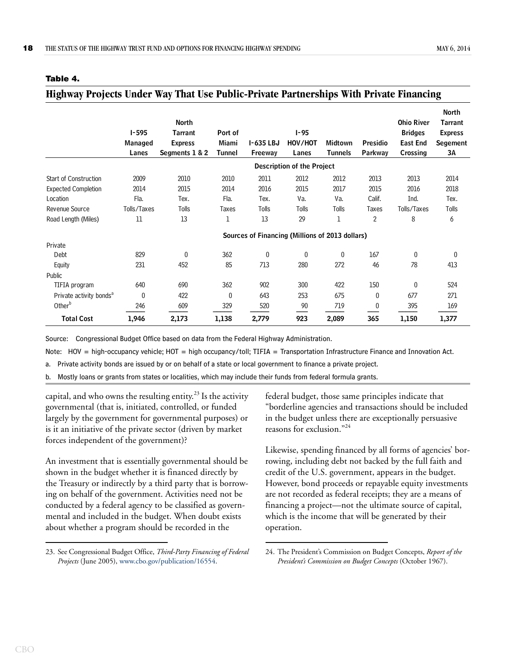|                                     | $I - 595$<br>Managed<br>Lanes | North<br><b>Tarrant</b><br><b>Express</b><br>Segments 1 & 2 | Port of<br>Miami<br>Tunnel | I-635 LBJ<br>Freeway                            | $1 - 95$<br>HOV/HOT<br>Lanes      | Midtown<br><b>Tunnels</b> | <b>Presidio</b><br>Parkway | <b>Ohio River</b><br><b>Bridges</b><br><b>East End</b><br>Crossing | North<br><b>Tarrant</b><br><b>Express</b><br><b>Segement</b><br>3A |
|-------------------------------------|-------------------------------|-------------------------------------------------------------|----------------------------|-------------------------------------------------|-----------------------------------|---------------------------|----------------------------|--------------------------------------------------------------------|--------------------------------------------------------------------|
|                                     |                               |                                                             |                            |                                                 | <b>Description of the Project</b> |                           |                            |                                                                    |                                                                    |
| <b>Start of Construction</b>        | 2009                          | 2010                                                        | 2010                       | 2011                                            | 2012                              | 2012                      | 2013                       | 2013                                                               | 2014                                                               |
| <b>Expected Completion</b>          | 2014                          | 2015                                                        | 2014                       | 2016                                            | 2015                              | 2017                      | 2015                       | 2016                                                               | 2018                                                               |
| Location                            | Fla.                          | Tex.                                                        | Fla.                       | Tex.                                            | Va.                               | Va.                       | Calif.                     | Ind.                                                               | Tex.                                                               |
| Revenue Source                      | Tolls/Taxes                   | Tolls                                                       | Taxes                      | Tolls                                           | <b>Tolls</b>                      | Tolls                     | Taxes                      | Tolls/Taxes                                                        | Tolls                                                              |
| Road Length (Miles)                 | 11                            | 13                                                          | 1                          | 13                                              | 29                                | 1                         | $\overline{2}$             | 8                                                                  | 6                                                                  |
|                                     |                               |                                                             |                            | Sources of Financing (Millions of 2013 dollars) |                                   |                           |                            |                                                                    |                                                                    |
| Private                             |                               |                                                             |                            |                                                 |                                   |                           |                            |                                                                    |                                                                    |
| Debt                                | 829                           | 0                                                           | 362                        | $\mathbf{0}$                                    | 0                                 | 0                         | 167                        | 0                                                                  | 0                                                                  |
| Equity                              | 231                           | 452                                                         | 85                         | 713                                             | 280                               | 272                       | 46                         | 78                                                                 | 413                                                                |
| Public                              |                               |                                                             |                            |                                                 |                                   |                           |                            |                                                                    |                                                                    |
| TIFIA program                       | 640                           | 690                                                         | 362                        | 902                                             | 300                               | 422                       | 150                        | 0                                                                  | 524                                                                |
| Private activity bonds <sup>a</sup> | 0                             | 422                                                         | 0                          | 643                                             | 253                               | 675                       | 0                          | 677                                                                | 271                                                                |
| Other <sup>b</sup>                  | 246                           | 609                                                         | 329                        | 520                                             | 90                                | 719                       | 0                          | 395                                                                | 169                                                                |
| <b>Total Cost</b>                   | 1,946                         | 2,173                                                       | 1,138                      | 2,779                                           | 923                               | 2,089                     | 365                        | 1,150                                                              | 1,377                                                              |

<span id="page-21-1"></span>**Highway Projects Under Way That Use Public-Private Partnerships With Private Financing**

#### <span id="page-21-0"></span>**Table 4.**

Source: Congressional Budget Office based on data from the Federal Highway Administration.

Note: HOV = high-occupancy vehicle; HOT = high occupancy/toll; TIFIA = Transportation Infrastructure Finance and Innovation Act.

a. Private activity bonds are issued by or on behalf of a state or local government to finance a private project.

b. Mostly loans or grants from states or localities, which may include their funds from federal formula grants.

capital, and who owns the resulting entity.<sup>23</sup> Is the activity governmental (that is, initiated, controlled, or funded largely by the government for governmental purposes) or is it an initiative of the private sector (driven by market forces independent of the government)?

An investment that is essentially governmental should be shown in the budget whether it is financed directly by the Treasury or indirectly by a third party that is borrowing on behalf of the government. Activities need not be conducted by a federal agency to be classified as governmental and included in the budget. When doubt exists about whether a program should be recorded in the

23. See Congressional Budget Office, *Third-Party Financing of Federal Projects* (June 2005), [www.cbo.gov/publication/16554.](http://www.cbo.gov/publication/16554)

federal budget, those same principles indicate that "borderline agencies and transactions should be included in the budget unless there are exceptionally persuasive reasons for exclusion."<sup>24</sup>

Likewise, spending financed by all forms of agencies' borrowing, including debt not backed by the full faith and credit of the U.S. government, appears in the budget. However, bond proceeds or repayable equity investments are not recorded as federal receipts; they are a means of financing a project—not the ultimate source of capital, which is the income that will be generated by their operation.

<sup>24.</sup> The President's Commission on Budget Concepts, *Report of the President's Commission on Budget Concepts* (October 1967).